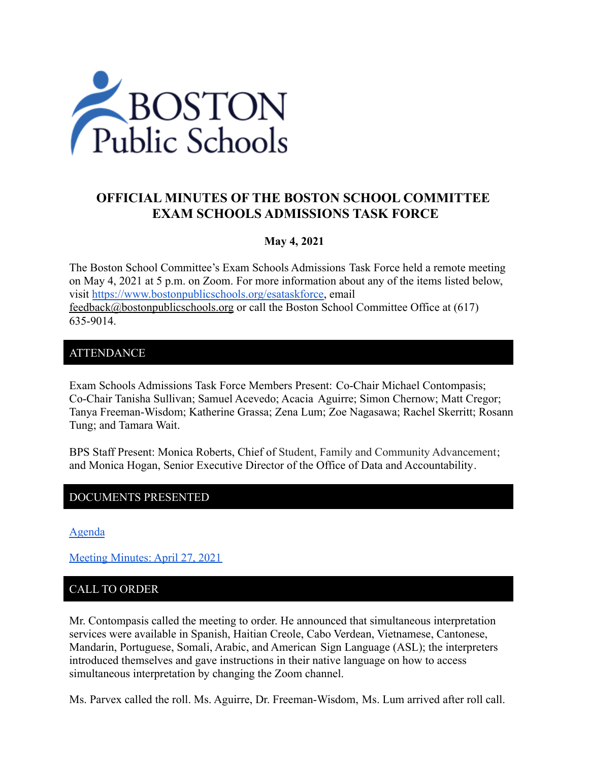

# **OFFICIAL MINUTES OF THE BOSTON SCHOOL COMMITTEE EXAM SCHOOLS ADMISSIONS TASK FORCE**

#### **May 4, 2021**

The Boston School Committee's Exam Schools Admissions Task Force held a remote meeting on May 4, 2021 at 5 p.m. on Zoom. For more information about any of the items listed below, visit [https://www.bostonpublicschools.org/esataskforce,](https://www.bostonpublicschools.org/esataskforce) email [feedback@bostonpublicschools.org](mailto:feedback@bostonpublicschools.org) or call the Boston School Committee Office at (617) 635-9014.

#### ATTENDANCE

Exam Schools Admissions Task Force Members Present: Co-Chair Michael Contompasis; Co-Chair Tanisha Sullivan; Samuel Acevedo; Acacia Aguirre; Simon Chernow; Matt Cregor; Tanya Freeman-Wisdom; Katherine Grassa; Zena Lum; Zoe Nagasawa; Rachel Skerritt; Rosann Tung; and Tamara Wait.

BPS Staff Present: Monica Roberts, Chief of Student, Family and Community Advancement; and Monica Hogan, Senior Executive Director of the Office of Data and Accountability.

#### DOCUMENTS PRESENTED

[Agenda](https://www.boston.gov/public-notices/15001591)

[Meeting Minutes: April 27, 2021](https://www.bostonpublicschools.org/cms/lib/MA01906464/Centricity/Domain/2931/Minutes%204%2027%20%2021%20Exam%20School%20Admission%20TF%20Meeting.pdf)

## CALL TO ORDER

Mr. Contompasis called the meeting to order. He announced that simultaneous interpretation services were available in Spanish, Haitian Creole, Cabo Verdean, Vietnamese, Cantonese, Mandarin, Portuguese, Somali, Arabic, and American Sign Language (ASL); the interpreters introduced themselves and gave instructions in their native language on how to access simultaneous interpretation by changing the Zoom channel.

Ms. Parvex called the roll. Ms. Aguirre, Dr. Freeman-Wisdom, Ms. Lum arrived after roll call.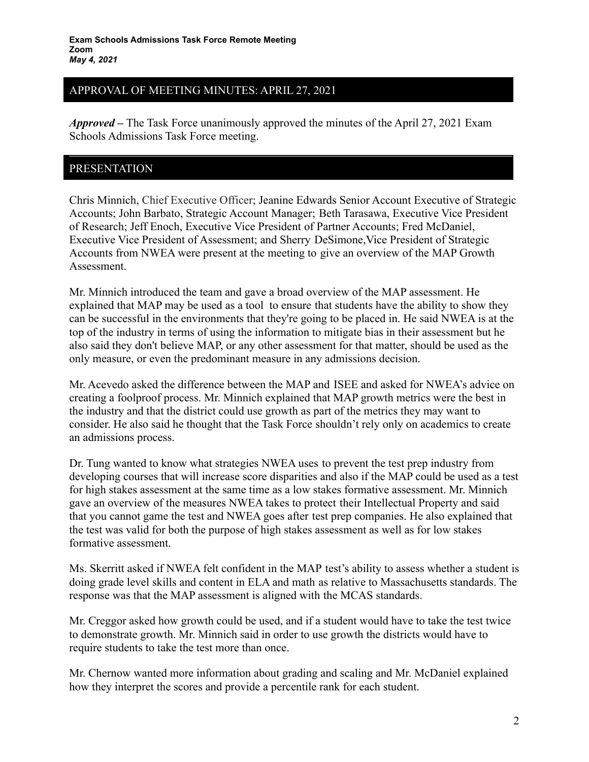### APPROVAL OF MEETING MINUTES: APRIL 27, 2021

*Approved –* The Task Force unanimously approved the minutes of the April 27, 2021 Exam Schools Admissions Task Force meeting.

#### PRESENTATION

Chris Minnich, Chief Executive Officer; Jeanine Edwards Senior Account Executive of Strategic Accounts; John Barbato, Strategic Account Manager; Beth Tarasawa, Executive Vice President of Research; Jeff Enoch, Executive Vice President of Partner Accounts; Fred McDaniel, Executive Vice President of Assessment; and Sherry DeSimone,Vice President of Strategic Accounts from NWEA were present at the meeting to give an overview of the MAP Growth Assessment.

Mr. Minnich introduced the team and gave a broad overview of the MAP assessment. He explained that MAP may be used as a tool to ensure that students have the ability to show they can be successful in the environments that they're going to be placed in. He said NWEA is at the top of the industry in terms of using the information to mitigate bias in their assessment but he also said they don't believe MAP, or any other assessment for that matter, should be used as the only measure, or even the predominant measure in any admissions decision.

Mr. Acevedo asked the difference between the MAP and ISEE and asked for NWEA's advice on creating a foolproof process. Mr. Minnich explained that MAP growth metrics were the best in the industry and that the district could use growth as part of the metrics they may want to consider. He also said he thought that the Task Force shouldn't rely only on academics to create an admissions process.

Dr. Tung wanted to know what strategies NWEA uses to prevent the test prep industry from developing courses that will increase score disparities and also if the MAP could be used as a test for high stakes assessment at the same time as a low stakes formative assessment. Mr. Minnich gave an overview of the measures NWEA takes to protect their Intellectual Property and said that you cannot game the test and NWEA goes after test prep companies. He also explained that the test was valid for both the purpose of high stakes assessment as well as for low stakes formative assessment.

Ms. Skerritt asked if NWEA felt confident in the MAP test's ability to assess whether a student is doing grade level skills and content in ELA and math as relative to Massachusetts standards. The response was that the MAP assessment is aligned with the MCAS standards.

Mr. Creggor asked how growth could be used, and if a student would have to take the test twice to demonstrate growth. Mr. Minnich said in order to use growth the districts would have to require students to take the test more than once.

Mr. Chernow wanted more information about grading and scaling and Mr. McDaniel explained how they interpret the scores and provide a percentile rank for each student.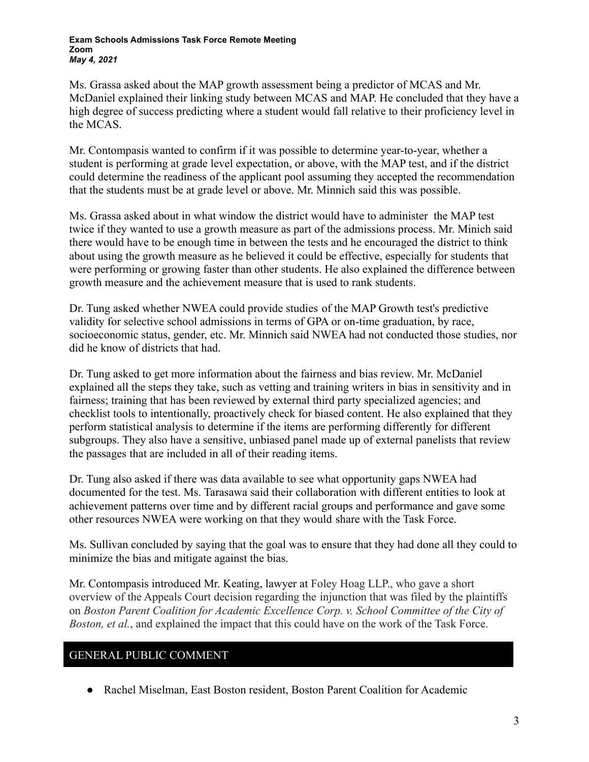#### **Exam Schools Admissions Task Force Remote Meeting Zoom** *May 4, 2021*

Ms. Grassa asked about the MAP growth assessment being a predictor of MCAS and Mr. McDaniel explained their linking study between MCAS and MAP. He concluded that they have a high degree of success predicting where a student would fall relative to their proficiency level in the MCAS.

Mr. Contompasis wanted to confirm if it was possible to determine year-to-year, whether a student is performing at grade level expectation, or above, with the MAP test, and if the district could determine the readiness of the applicant pool assuming they accepted the recommendation that the students must be at grade level or above. Mr. Minnich said this was possible.

Ms. Grassa asked about in what window the district would have to administer the MAP test twice if they wanted to use a growth measure as part of the admissions process. Mr. Minich said there would have to be enough time in between the tests and he encouraged the district to think about using the growth measure as he believed it could be effective, especially for students that were performing or growing faster than other students. He also explained the difference between growth measure and the achievement measure that is used to rank students.

Dr. Tung asked whether NWEA could provide studies of the MAP Growth test's predictive validity for selective school admissions in terms of GPA or on-time graduation, by race, socioeconomic status, gender, etc. Mr. Minnich said NWEA had not conducted those studies, nor did he know of districts that had.

Dr. Tung asked to get more information about the fairness and bias review. Mr. McDaniel explained all the steps they take, such as vetting and training writers in bias in sensitivity and in fairness; training that has been reviewed by external third party specialized agencies; and checklist tools to intentionally, proactively check for biased content. He also explained that they perform statistical analysis to determine if the items are performing differently for different subgroups. They also have a sensitive, unbiased panel made up of external panelists that review the passages that are included in all of their reading items.

Dr. Tung also asked if there was data available to see what opportunity gaps NWEA had documented for the test. Ms. Tarasawa said their collaboration with different entities to look at achievement patterns over time and by different racial groups and performance and gave some other resources NWEA were working on that they would share with the Task Force.

Ms. Sullivan concluded by saying that the goal was to ensure that they had done all they could to minimize the bias and mitigate against the bias.

Mr. Contompasis introduced Mr. Keating, lawyer at Foley Hoag LLP., who gave a short overview of the Appeals Court decision regarding the injunction that was filed by the plaintiffs on *Boston Parent Coalition for Academic Excellence Corp. v. School Committee of the City of Boston, et al.*, and explained the impact that this could have on the work of the Task Force.

## GENERAL PUBLIC COMMENT

• Rachel Miselman, East Boston resident, Boston Parent Coalition for Academic